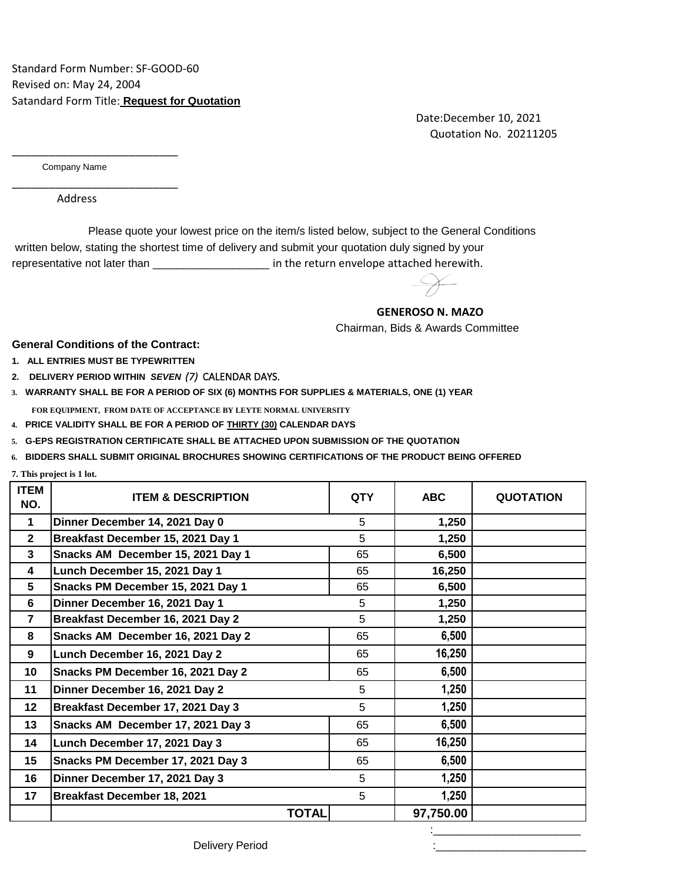Date:December 10, 2021 Quotation No. 20211205

Company Name

\_\_\_\_\_\_\_\_\_\_\_\_\_\_\_\_\_\_\_\_\_\_\_\_\_\_\_

\_\_\_\_\_\_\_\_\_\_\_\_\_\_\_\_\_\_\_\_\_\_\_\_\_\_\_

Address

 written below, stating the shortest time of delivery and submit your quotation duly signed by your representative not later than \_\_\_\_\_\_\_\_\_\_\_\_\_\_\_\_\_\_\_\_\_\_\_\_ in the return envelope attached herewith. Please quote your lowest price on the item/s listed below, subject to the General Conditions

## **GENEROSO N. MAZO**

Chairman, Bids & Awards Committee

**General Conditions of the Contract:**

- **1. ALL ENTRIES MUST BE TYPEWRITTEN**
- **2. DELIVERY PERIOD WITHIN** *SEVEN (7)* CALENDAR DAYS.
- **3. WARRANTY SHALL BE FOR A PERIOD OF SIX (6) MONTHS FOR SUPPLIES & MATERIALS, ONE (1) YEAR FOR EQUIPMENT, FROM DATE OF ACCEPTANCE BY LEYTE NORMAL UNIVERSITY**
- **4. PRICE VALIDITY SHALL BE FOR A PERIOD OF THIRTY (30) CALENDAR DAYS**
- **5. G-EPS REGISTRATION CERTIFICATE SHALL BE ATTACHED UPON SUBMISSION OF THE QUOTATION**
- **6. BIDDERS SHALL SUBMIT ORIGINAL BROCHURES SHOWING CERTIFICATIONS OF THE PRODUCT BEING OFFERED**

**7. This project is 1 lot.**

| <b>ITEM</b><br>NO.      | <b>ITEM &amp; DESCRIPTION</b>      | <b>QTY</b>   | <b>ABC</b> | <b>QUOTATION</b> |
|-------------------------|------------------------------------|--------------|------------|------------------|
| $\mathbf{1}$            | Dinner December 14, 2021 Day 0     | 5            | 1,250      |                  |
| $\mathbf{2}$            | Breakfast December 15, 2021 Day 1  | 5            | 1,250      |                  |
| 3                       | Snacks AM December 15, 2021 Day 1  | 65           | 6,500      |                  |
| 4                       | Lunch December 15, 2021 Day 1      | 65           | 16,250     |                  |
| $\overline{\mathbf{5}}$ | Snacks PM December 15, 2021 Day 1  | 65           | 6,500      |                  |
| 6                       | Dinner December 16, 2021 Day 1     | 5            | 1,250      |                  |
| $\overline{7}$          | Breakfast December 16, 2021 Day 2  | 5            | 1,250      |                  |
| 8                       | Snacks AM December 16, 2021 Day 2  | 65           | 6,500      |                  |
| 9                       | Lunch December 16, 2021 Day 2      | 65           | 16,250     |                  |
| 10                      | Snacks PM December 16, 2021 Day 2  | 65           | 6,500      |                  |
| 11                      | Dinner December 16, 2021 Day 2     | 5            | 1,250      |                  |
| 12                      | Breakfast December 17, 2021 Day 3  | 5            | 1,250      |                  |
| 13                      | Snacks AM December 17, 2021 Day 3  | 65           | 6,500      |                  |
| 14                      | Lunch December 17, 2021 Day 3      | 65           | 16,250     |                  |
| 15                      | Snacks PM December 17, 2021 Day 3  | 65           | 6,500      |                  |
| 16                      | Dinner December 17, 2021 Day 3     | 5            | 1,250      |                  |
| 17                      | <b>Breakfast December 18, 2021</b> | 5            | 1,250      |                  |
|                         |                                    | <b>TOTAL</b> | 97,750.00  |                  |
|                         |                                    |              |            |                  |